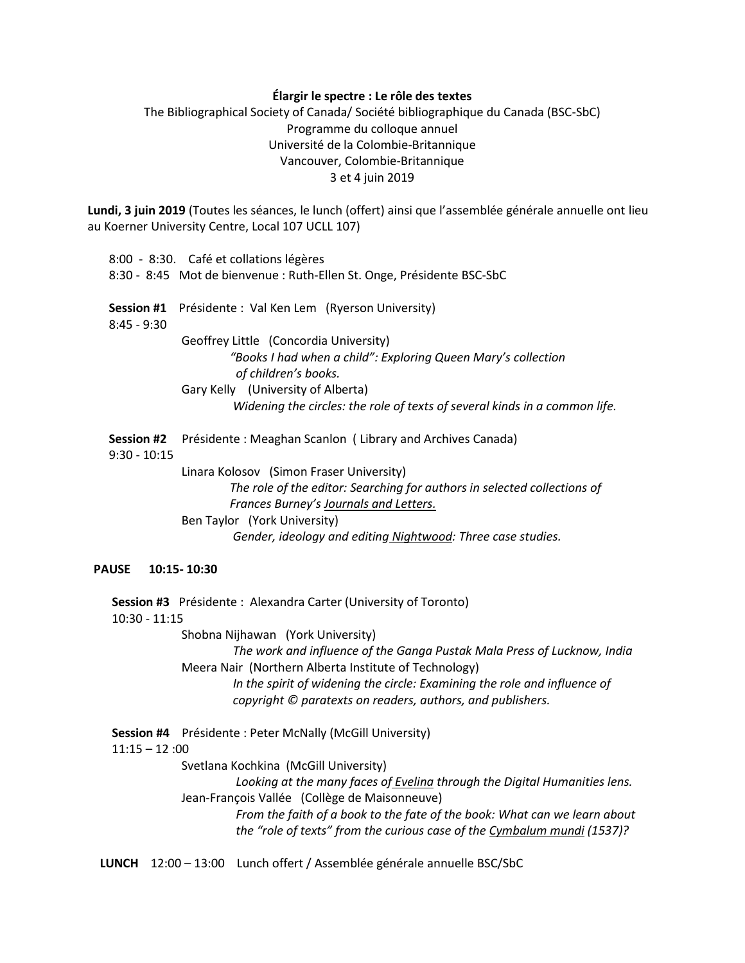## **Élargir le spectre : Le rôle des textes**

The Bibliographical Society of Canada/ Société bibliographique du Canada (BSC-SbC) Programme du colloque annuel Université de la Colombie-Britannique Vancouver, Colombie-Britannique 3 et 4 juin 2019

**Lundi, 3 juin 2019** (Toutes les séances, le lunch (offert) ainsi que l'assemblée générale annuelle ont lieu au Koerner University Centre, Local 107 UCLL 107)

|                              | 8:00 - 8:30. Café et collations légères                                               |
|------------------------------|---------------------------------------------------------------------------------------|
|                              | 8:30 - 8:45 Mot de bienvenue : Ruth-Ellen St. Onge, Présidente BSC-SbC                |
| Session #1<br>$8:45 - 9:30$  | Présidente : Val Ken Lem (Ryerson University)                                         |
|                              | Geoffrey Little (Concordia University)                                                |
|                              | "Books I had when a child": Exploring Queen Mary's collection<br>of children's books. |
|                              | Gary Kelly (University of Alberta)                                                    |
|                              | Widening the circles: the role of texts of several kinds in a common life.            |
| Session #2<br>$9:30 - 10:15$ | Présidente : Meaghan Scanlon (Library and Archives Canada)                            |
|                              | Linara Kolosov (Simon Fraser University)                                              |
|                              | The role of the editor: Searching for authors in selected collections of              |
|                              | Frances Burney's Journals and Letters.                                                |
|                              | Ben Taylor (York University)                                                          |
|                              | Gender, ideology and editing Nightwood: Three case studies.                           |

# **PAUSE 10:15- 10:30**

 **Session #3** Présidente :Alexandra Carter (University of Toronto) 10:30 - 11:15 Shobna Nijhawan (York University) *The work and influence of the Ganga Pustak Mala Press of Lucknow, India* Meera Nair (Northern Alberta Institute of Technology)  *In the spirit of widening the circle: Examining the role and influence of copyright © paratexts on readers, authors, and publishers.*  **Session #4** Présidente : Peter McNally (McGill University)  $11:15 - 12:00$  Svetlana Kochkina (McGill University)  *Looking at the many faces of Evelina through the Digital Humanities lens.*  Jean-François Vallée (Collège de Maisonneuve)  *From the faith of a book to the fate of the book: What can we learn about the "role of texts" from the curious case of the Cymbalum mundi (1537)?*

**LUNCH** 12:00 – 13:00 Lunch offert / Assemblée générale annuelle BSC/SbC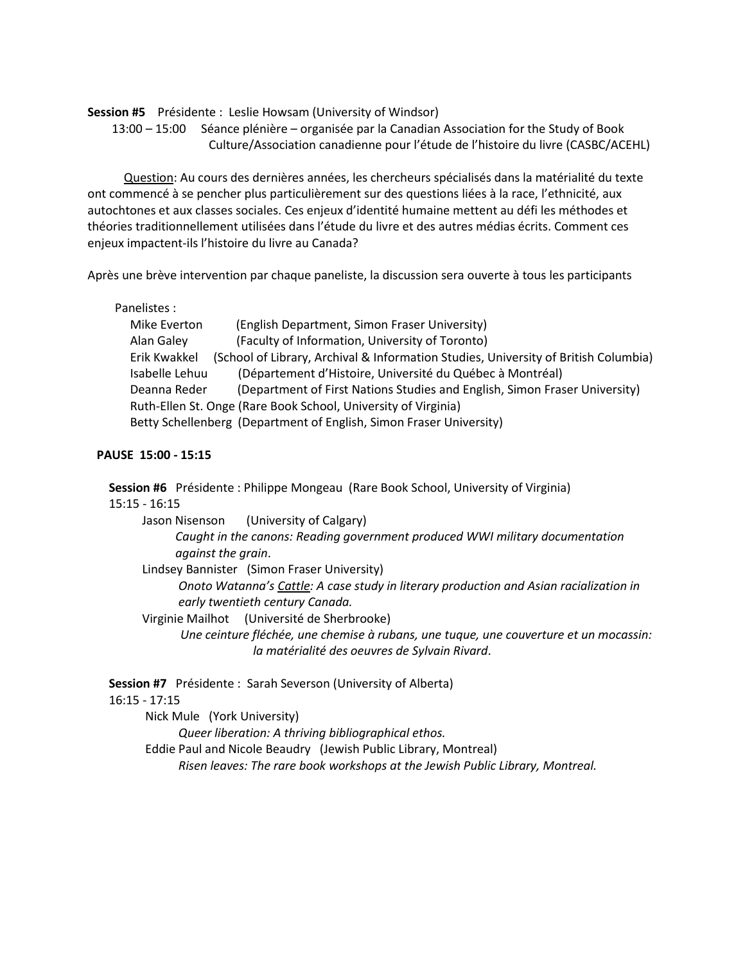## **Session #5** Présidente : Leslie Howsam (University of Windsor)

 13:00 – 15:00 Séance plénière – organisée par la Canadian Association for the Study of Book Culture/Association canadienne pour l'étude de l'histoire du livre (CASBC/ACEHL)

 Question: Au cours des dernières années, les chercheurs spécialisés dans la matérialité du texte ont commencé à se pencher plus particulièrement sur des questions liées à la race, l'ethnicité, aux autochtones et aux classes sociales. Ces enjeux d'identité humaine mettent au défi les méthodes et théories traditionnellement utilisées dans l'étude du livre et des autres médias écrits. Comment ces enjeux impactent-ils l'histoire du livre au Canada?

Après une brève intervention par chaque paneliste, la discussion sera ouverte à tous les participants

Panelistes :

| Mike Everton   | (English Department, Simon Fraser University)                                       |
|----------------|-------------------------------------------------------------------------------------|
| Alan Galey     | (Faculty of Information, University of Toronto)                                     |
| Erik Kwakkel   | (School of Library, Archival & Information Studies, University of British Columbia) |
| Isabelle Lehuu | (Département d'Histoire, Université du Québec à Montréal)                           |
| Deanna Reder   | (Department of First Nations Studies and English, Simon Fraser University)          |
|                | Ruth-Ellen St. Onge (Rare Book School, University of Virginia)                      |
|                | Betty Schellenberg (Department of English, Simon Fraser University)                 |

## **PAUSE 15:00 - 15:15**

 **Session #6** Présidente : Philippe Mongeau (Rare Book School, University of Virginia) 15:15 - 16:15

 Jason Nisenson (University of Calgary)  *Caught in the canons: Reading government produced WWI military documentation against the grain*.

Lindsey Bannister (Simon Fraser University)

 *Onoto Watanna's Cattle: A case study in literary production and Asian racialization in early twentieth century Canada.*

Virginie Mailhot (Université de Sherbrooke)

 *Une ceinture fléchée, une chemise à rubans, une tuque, une couverture et un mocassin: la matérialité des oeuvres de Sylvain Rivard*.

**Session #7** Présidente :Sarah Severson (University of Alberta)

## 16:15 - 17:15

Nick Mule (York University)

*Queer liberation: A thriving bibliographical ethos.*

Eddie Paul and Nicole Beaudry (Jewish Public Library, Montreal)

*Risen leaves: The rare book workshops at the Jewish Public Library, Montreal.*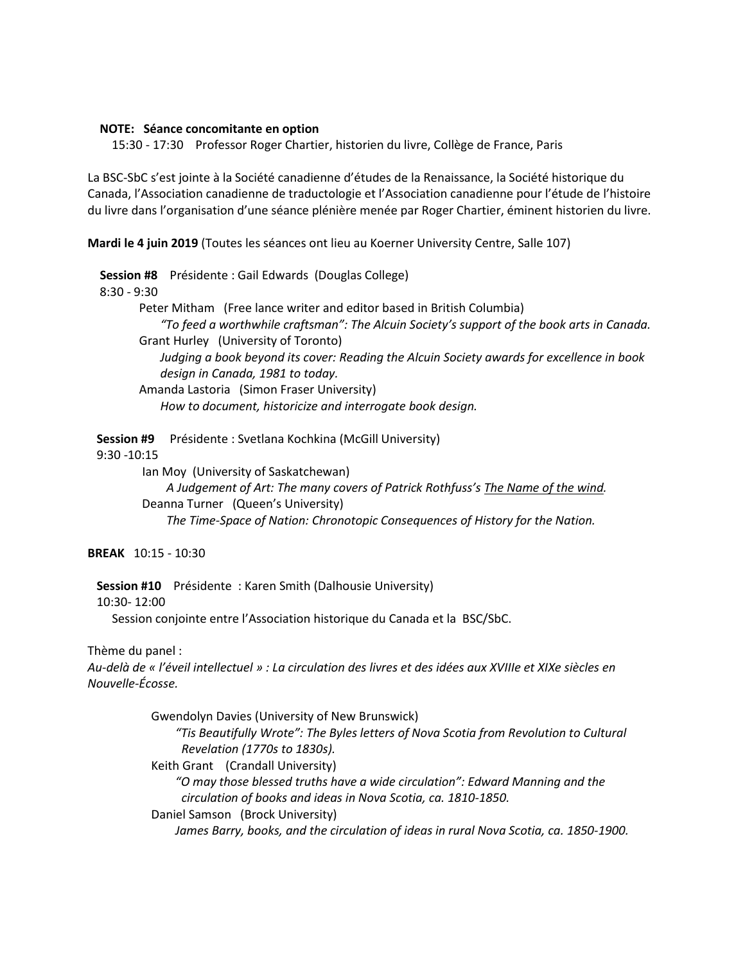## **NOTE: Séance concomitante en option**

15:30 - 17:30 Professor Roger Chartier, historien du livre, Collège de France, Paris

La BSC-SbC s'est jointe à la Société canadienne d'études de la Renaissance, la Société historique du Canada, l'Association canadienne de traductologie et l'Association canadienne pour l'étude de l'histoire du livre dans l'organisation d'une séance plénière menée par Roger Chartier, éminent historien du livre.

**Mardi le 4 juin 2019** (Toutes les séances ont lieu au Koerner University Centre, Salle 107)

 **Session #8** Présidente : Gail Edwards (Douglas College) 8:30 - 9:30 Peter Mitham (Free lance writer and editor based in British Columbia) *"To feed a worthwhile craftsman": The Alcuin Society's support of the book arts in Canada.* **Grant Hurley (University of Toronto)**  *Judging a book beyond its cover: Reading the Alcuin Society awards for excellence in book design in Canada, 1981 to today.*  Amanda Lastoria (Simon Fraser University) *How to document, historicize and interrogate book design.*

 **Session #9** Présidente : Svetlana Kochkina (McGill University) 9:30 -10:15 Ian Moy (University of Saskatchewan) *A Judgement of Art: The many covers of Patrick Rothfuss's The Name of the wind.* Deanna Turner (Queen's University)

*The Time-Space of Nation: Chronotopic Consequences of History for the Nation.*

**BREAK** 10:15 - 10:30

 **Session #10** Présidente : Karen Smith (Dalhousie University)

10:30- 12:00

Session conjointe entre l'Association historique du Canada et la BSC/SbC.

Thème du panel :

*Au-delà de « l'éveil intellectuel » : La circulation des livres et des idées aux XVIIIe et XIXe siècles en Nouvelle-Écosse.*

> Gwendolyn Davies (University of New Brunswick) *"Tis Beautifully Wrote": The Byles letters of Nova Scotia from Revolution to Cultural Revelation (1770s to 1830s).* Keith Grant (Crandall University)  *"O may those blessed truths have a wide circulation": Edward Manning and the circulation of books and ideas in Nova Scotia, ca. 1810-1850.* Daniel Samson (Brock University)  *James Barry, books, and the circulation of ideas in rural Nova Scotia, ca. 1850-1900.*